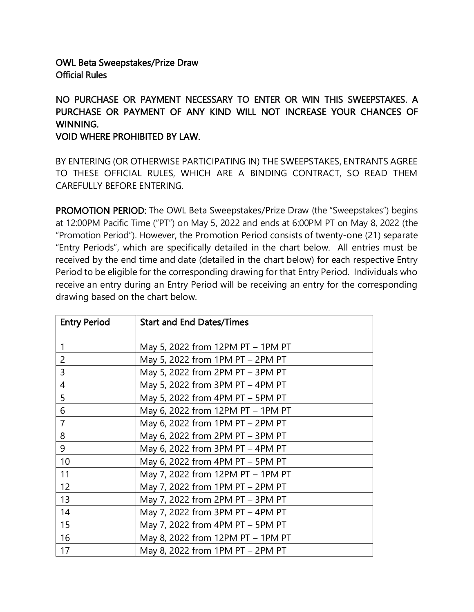## OWL Beta Sweepstakes/Prize Draw Official Rules

## NO PURCHASE OR PAYMENT NECESSARY TO ENTER OR WIN THIS SWEEPSTAKES. A PURCHASE OR PAYMENT OF ANY KIND WILL NOT INCREASE YOUR CHANCES OF WINNING.

## VOID WHERE PROHIBITED BY LAW.

BY ENTERING (OR OTHERWISE PARTICIPATING IN) THE SWEEPSTAKES, ENTRANTS AGREE TO THESE OFFICIAL RULES, WHICH ARE A BINDING CONTRACT, SO READ THEM CAREFULLY BEFORE ENTERING.

PROMOTION PERIOD: The OWL Beta Sweepstakes/Prize Draw (the "Sweepstakes") begins at 12:00PM Pacific Time ("PT") on May 5, 2022 and ends at 6:00PM PT on May 8, 2022 (the "Promotion Period"). However, the Promotion Period consists of twenty-one (21) separate "Entry Periods", which are specifically detailed in the chart below. All entries must be received by the end time and date (detailed in the chart below) for each respective Entry Period to be eligible for the corresponding drawing for that Entry Period. Individuals who receive an entry during an Entry Period will be receiving an entry for the corresponding drawing based on the chart below.

| <b>Entry Period</b> | <b>Start and End Dates/Times</b>  |
|---------------------|-----------------------------------|
| $\mathbf{1}$        | May 5, 2022 from 12PM PT – 1PM PT |
| $\overline{2}$      | May 5, 2022 from 1PM PT - 2PM PT  |
| 3                   | May 5, 2022 from 2PM PT - 3PM PT  |
| $\overline{4}$      | May 5, 2022 from 3PM PT - 4PM PT  |
| 5                   | May 5, 2022 from 4PM PT - 5PM PT  |
| 6                   | May 6, 2022 from 12PM PT - 1PM PT |
| $\overline{7}$      | May 6, 2022 from 1PM PT - 2PM PT  |
| 8                   | May 6, 2022 from 2PM PT - 3PM PT  |
| 9                   | May 6, 2022 from 3PM PT - 4PM PT  |
| 10                  | May 6, 2022 from 4PM PT - 5PM PT  |
| 11                  | May 7, 2022 from 12PM PT – 1PM PT |
| 12                  | May 7, 2022 from 1PM PT - 2PM PT  |
| 13                  | May 7, 2022 from 2PM PT – 3PM PT  |
| 14                  | May 7, 2022 from 3PM PT - 4PM PT  |
| 15                  | May 7, 2022 from 4PM PT - 5PM PT  |
| 16                  | May 8, 2022 from 12PM PT - 1PM PT |
| 17                  | May 8, 2022 from 1PM PT – 2PM PT  |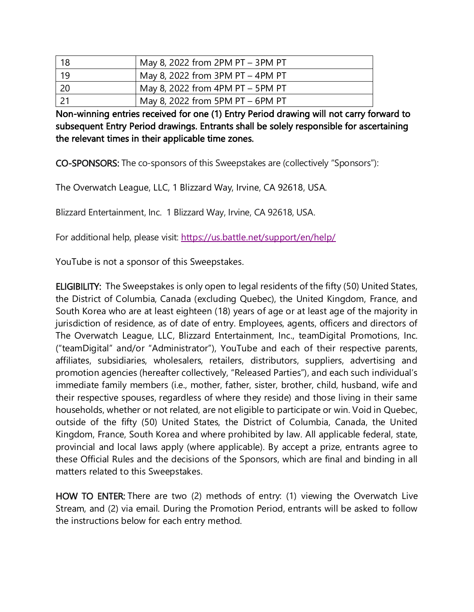|      | May 8, 2022 from 2PM PT - 3PM PT |
|------|----------------------------------|
| 19   | May 8, 2022 from 3PM PT - 4PM PT |
| - 20 | May 8, 2022 from 4PM PT - 5PM PT |
|      | May 8, 2022 from 5PM PT - 6PM PT |

Non-winning entries received for one (1) Entry Period drawing will not carry forward to subsequent Entry Period drawings. Entrants shall be solely responsible for ascertaining the relevant times in their applicable time zones.

CO-SPONSORS: The co-sponsors of this Sweepstakes are (collectively "Sponsors"):

The Overwatch League, LLC, 1 Blizzard Way, Irvine, CA 92618, USA.

Blizzard Entertainment, Inc. 1 Blizzard Way, Irvine, CA 92618, USA.

For additional help, please visit: <https://us.battle.net/support/en/help/>

YouTube is not a sponsor of this Sweepstakes.

ELIGIBILITY: The Sweepstakes is only open to legal residents of the fifty (50) United States, the District of Columbia, Canada (excluding Quebec), the United Kingdom, France, and South Korea who are at least eighteen (18) years of age or at least age of the majority in jurisdiction of residence, as of date of entry. Employees, agents, officers and directors of The Overwatch League, LLC, Blizzard Entertainment, Inc., teamDigital Promotions, Inc. ("teamDigital" and/or "Administrator"), YouTube and each of their respective parents, affiliates, subsidiaries, wholesalers, retailers, distributors, suppliers, advertising and promotion agencies (hereafter collectively, "Released Parties"), and each such individual's immediate family members (i.e., mother, father, sister, brother, child, husband, wife and their respective spouses, regardless of where they reside) and those living in their same households, whether or not related, are not eligible to participate or win. Void in Quebec, outside of the fifty (50) United States, the District of Columbia, Canada, the United Kingdom, France, South Korea and where prohibited by law. All applicable federal, state, provincial and local laws apply (where applicable). By accept a prize, entrants agree to these Official Rules and the decisions of the Sponsors, which are final and binding in all matters related to this Sweepstakes.

HOW TO ENTER: There are two (2) methods of entry: (1) viewing the Overwatch Live Stream, and (2) via email. During the Promotion Period, entrants will be asked to follow the instructions below for each entry method.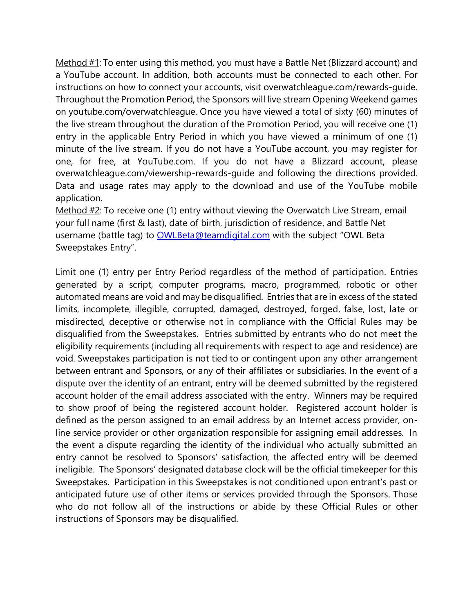Method #1: To enter using this method, you must have a Battle Net (Blizzard account) and a YouTube account. In addition, both accounts must be connected to each other. For instructions on how to connect your accounts, visit overwatchleague.com/rewards-guide. Throughout the Promotion Period, the Sponsors will live stream Opening Weekend games on youtube.com/overwatchleague. Once you have viewed a total of sixty (60) minutes of the live stream throughout the duration of the Promotion Period, you will receive one (1) entry in the applicable Entry Period in which you have viewed a minimum of one (1) minute of the live stream. If you do not have a YouTube account, you may register for one, for free, at YouTube.com. If you do not have a Blizzard account, please overwatchleague.com/viewership-rewards-guide and following the directions provided. Data and usage rates may apply to the download and use of the YouTube mobile application.

Method #2: To receive one (1) entry without viewing the Overwatch Live Stream, email your full name (first & last), date of birth, jurisdiction of residence, and Battle Net username (battle tag) to [OWLBeta@teamdigital.com](mailto:OWLBeta@teamdigital.com) with the subject "OWL Beta Sweepstakes Entry".

Limit one (1) entry per Entry Period regardless of the method of participation. Entries generated by a script, computer programs, macro, programmed, robotic or other automated means are void and may be disqualified. Entries that are in excess of the stated limits, incomplete, illegible, corrupted, damaged, destroyed, forged, false, lost, late or misdirected, deceptive or otherwise not in compliance with the Official Rules may be disqualified from the Sweepstakes. Entries submitted by entrants who do not meet the eligibility requirements (including all requirements with respect to age and residence) are void. Sweepstakes participation is not tied to or contingent upon any other arrangement between entrant and Sponsors, or any of their affiliates or subsidiaries. In the event of a dispute over the identity of an entrant, entry will be deemed submitted by the registered account holder of the email address associated with the entry. Winners may be required to show proof of being the registered account holder. Registered account holder is defined as the person assigned to an email address by an Internet access provider, online service provider or other organization responsible for assigning email addresses. In the event a dispute regarding the identity of the individual who actually submitted an entry cannot be resolved to Sponsors' satisfaction, the affected entry will be deemed ineligible. The Sponsors' designated database clock will be the official timekeeper for this Sweepstakes. Participation in this Sweepstakes is not conditioned upon entrant's past or anticipated future use of other items or services provided through the Sponsors. Those who do not follow all of the instructions or abide by these Official Rules or other instructions of Sponsors may be disqualified.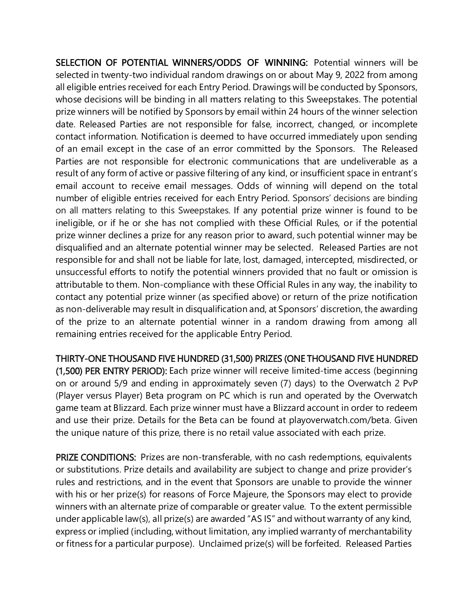SELECTION OF POTENTIAL WINNERS/ODDS OF WINNING: Potential winners will be selected in twenty-two individual random drawings on or about May 9, 2022 from among all eligible entries received for each Entry Period. Drawings will be conducted by Sponsors, whose decisions will be binding in all matters relating to this Sweepstakes. The potential prize winners will be notified by Sponsors by email within 24 hours of the winner selection date. Released Parties are not responsible for false, incorrect, changed, or incomplete contact information. Notification is deemed to have occurred immediately upon sending of an email except in the case of an error committed by the Sponsors. The Released Parties are not responsible for electronic communications that are undeliverable as a result of any form of active or passive filtering of any kind, or insufficient space in entrant's email account to receive email messages. Odds of winning will depend on the total number of eligible entries received for each Entry Period. Sponsors' decisions are binding on all matters relating to this Sweepstakes. If any potential prize winner is found to be ineligible, or if he or she has not complied with these Official Rules, or if the potential prize winner declines a prize for any reason prior to award, such potential winner may be disqualified and an alternate potential winner may be selected. Released Parties are not responsible for and shall not be liable for late, lost, damaged, intercepted, misdirected, or unsuccessful efforts to notify the potential winners provided that no fault or omission is attributable to them. Non-compliance with these Official Rules in any way, the inability to contact any potential prize winner (as specified above) or return of the prize notification as non-deliverable may result in disqualification and, at Sponsors' discretion, the awarding of the prize to an alternate potential winner in a random drawing from among all remaining entries received for the applicable Entry Period.

THIRTY-ONE THOUSAND FIVE HUNDRED (31,500) PRIZES (ONE THOUSAND FIVE HUNDRED (1,500) PER ENTRY PERIOD): Each prize winner will receive limited-time access (beginning on or around 5/9 and ending in approximately seven (7) days) to the Overwatch 2 PvP (Player versus Player) Beta program on PC which is run and operated by the Overwatch game team at Blizzard. Each prize winner must have a Blizzard account in order to redeem and use their prize. Details for the Beta can be found at playoverwatch.com/beta. Given the unique nature of this prize, there is no retail value associated with each prize.

PRIZE CONDITIONS: Prizes are non-transferable, with no cash redemptions, equivalents or substitutions. Prize details and availability are subject to change and prize provider's rules and restrictions, and in the event that Sponsors are unable to provide the winner with his or her prize(s) for reasons of Force Majeure, the Sponsors may elect to provide winners with an alternate prize of comparable or greater value. To the extent permissible under applicable law(s), all prize(s) are awarded "AS IS" and without warranty of any kind, express or implied (including, without limitation, any implied warranty of merchantability or fitness for a particular purpose). Unclaimed prize(s) will be forfeited. Released Parties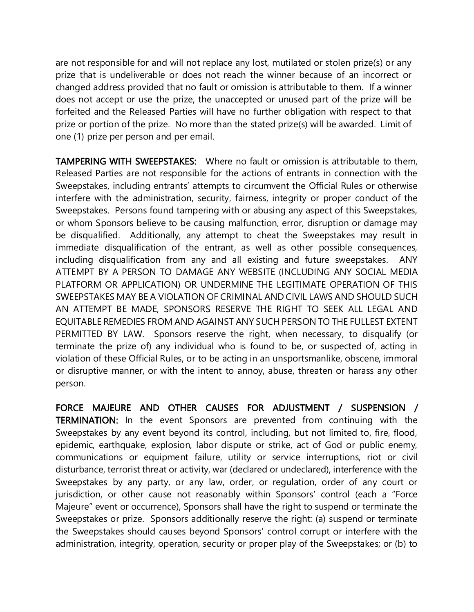are not responsible for and will not replace any lost, mutilated or stolen prize(s) or any prize that is undeliverable or does not reach the winner because of an incorrect or changed address provided that no fault or omission is attributable to them. If a winner does not accept or use the prize, the unaccepted or unused part of the prize will be forfeited and the Released Parties will have no further obligation with respect to that prize or portion of the prize. No more than the stated prize(s) will be awarded. Limit of one (1) prize per person and per email.

TAMPERING WITH SWEEPSTAKES: Where no fault or omission is attributable to them, Released Parties are not responsible for the actions of entrants in connection with the Sweepstakes, including entrants' attempts to circumvent the Official Rules or otherwise interfere with the administration, security, fairness, integrity or proper conduct of the Sweepstakes. Persons found tampering with or abusing any aspect of this Sweepstakes, or whom Sponsors believe to be causing malfunction, error, disruption or damage may be disqualified. Additionally, any attempt to cheat the Sweepstakes may result in immediate disqualification of the entrant, as well as other possible consequences, including disqualification from any and all existing and future sweepstakes. ANY ATTEMPT BY A PERSON TO DAMAGE ANY WEBSITE (INCLUDING ANY SOCIAL MEDIA PLATFORM OR APPLICATION) OR UNDERMINE THE LEGITIMATE OPERATION OF THIS SWEEPSTAKES MAY BE A VIOLATION OF CRIMINAL AND CIVIL LAWS AND SHOULD SUCH AN ATTEMPT BE MADE, SPONSORS RESERVE THE RIGHT TO SEEK ALL LEGAL AND EQUITABLE REMEDIES FROM AND AGAINST ANY SUCH PERSON TO THE FULLEST EXTENT PERMITTED BY LAW. Sponsors reserve the right, when necessary, to disqualify (or terminate the prize of) any individual who is found to be, or suspected of, acting in violation of these Official Rules, or to be acting in an unsportsmanlike, obscene, immoral or disruptive manner, or with the intent to annoy, abuse, threaten or harass any other person.

FORCE MAJEURE AND OTHER CAUSES FOR ADJUSTMENT / SUSPENSION / TERMINATION: In the event Sponsors are prevented from continuing with the Sweepstakes by any event beyond its control, including, but not limited to, fire, flood, epidemic, earthquake, explosion, labor dispute or strike, act of God or public enemy, communications or equipment failure, utility or service interruptions, riot or civil disturbance, terrorist threat or activity, war (declared or undeclared), interference with the Sweepstakes by any party, or any law, order, or regulation, order of any court or jurisdiction, or other cause not reasonably within Sponsors' control (each a "Force Majeure" event or occurrence), Sponsors shall have the right to suspend or terminate the Sweepstakes or prize. Sponsors additionally reserve the right: (a) suspend or terminate the Sweepstakes should causes beyond Sponsors' control corrupt or interfere with the administration, integrity, operation, security or proper play of the Sweepstakes; or (b) to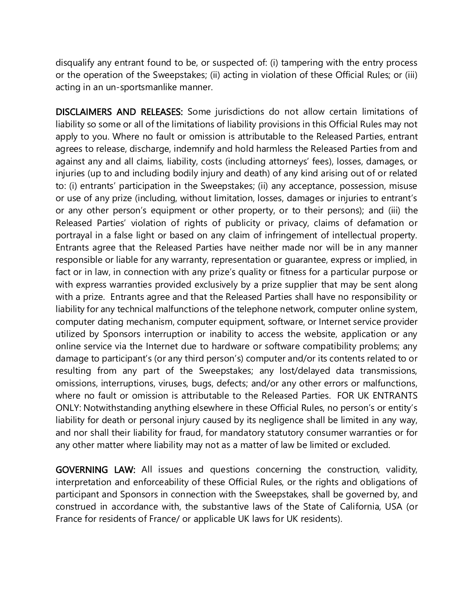disqualify any entrant found to be, or suspected of: (i) tampering with the entry process or the operation of the Sweepstakes; (ii) acting in violation of these Official Rules; or (iii) acting in an un-sportsmanlike manner.

DISCLAIMERS AND RELEASES: Some jurisdictions do not allow certain limitations of liability so some or all of the limitations of liability provisions in this Official Rules may not apply to you. Where no fault or omission is attributable to the Released Parties, entrant agrees to release, discharge, indemnify and hold harmless the Released Parties from and against any and all claims, liability, costs (including attorneys' fees), losses, damages, or injuries (up to and including bodily injury and death) of any kind arising out of or related to: (i) entrants' participation in the Sweepstakes; (ii) any acceptance, possession, misuse or use of any prize (including, without limitation, losses, damages or injuries to entrant's or any other person's equipment or other property, or to their persons); and (iii) the Released Parties' violation of rights of publicity or privacy, claims of defamation or portrayal in a false light or based on any claim of infringement of intellectual property. Entrants agree that the Released Parties have neither made nor will be in any manner responsible or liable for any warranty, representation or guarantee, express or implied, in fact or in law, in connection with any prize's quality or fitness for a particular purpose or with express warranties provided exclusively by a prize supplier that may be sent along with a prize. Entrants agree and that the Released Parties shall have no responsibility or liability for any technical malfunctions of the telephone network, computer online system, computer dating mechanism, computer equipment, software, or Internet service provider utilized by Sponsors interruption or inability to access the website, application or any online service via the Internet due to hardware or software compatibility problems; any damage to participant's (or any third person's) computer and/or its contents related to or resulting from any part of the Sweepstakes; any lost/delayed data transmissions, omissions, interruptions, viruses, bugs, defects; and/or any other errors or malfunctions, where no fault or omission is attributable to the Released Parties. FOR UK ENTRANTS ONLY: Notwithstanding anything elsewhere in these Official Rules, no person's or entity's liability for death or personal injury caused by its negligence shall be limited in any way, and nor shall their liability for fraud, for mandatory statutory consumer warranties or for any other matter where liability may not as a matter of law be limited or excluded.

GOVERNING LAW: All issues and questions concerning the construction, validity, interpretation and enforceability of these Official Rules, or the rights and obligations of participant and Sponsors in connection with the Sweepstakes, shall be governed by, and construed in accordance with, the substantive laws of the State of California, USA (or France for residents of France/ or applicable UK laws for UK residents).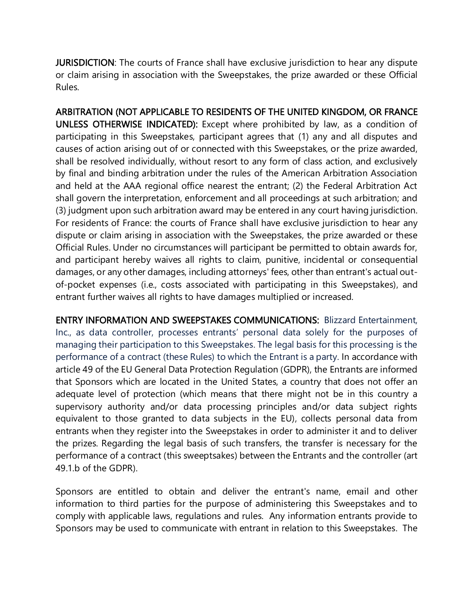JURISDICTION: The courts of France shall have exclusive jurisdiction to hear any dispute or claim arising in association with the Sweepstakes, the prize awarded or these Official Rules.

ARBITRATION (NOT APPLICABLE TO RESIDENTS OF THE UNITED KINGDOM, OR FRANCE UNLESS OTHERWISE INDICATED): Except where prohibited by law, as a condition of participating in this Sweepstakes, participant agrees that (1) any and all disputes and causes of action arising out of or connected with this Sweepstakes, or the prize awarded, shall be resolved individually, without resort to any form of class action, and exclusively by final and binding arbitration under the rules of the American Arbitration Association and held at the AAA regional office nearest the entrant; (2) the Federal Arbitration Act shall govern the interpretation, enforcement and all proceedings at such arbitration; and (3) judgment upon such arbitration award may be entered in any court having jurisdiction. For residents of France: the courts of France shall have exclusive jurisdiction to hear any dispute or claim arising in association with the Sweepstakes, the prize awarded or these Official Rules. Under no circumstances will participant be permitted to obtain awards for, and participant hereby waives all rights to claim, punitive, incidental or consequential damages, or any other damages, including attorneys' fees, other than entrant's actual outof-pocket expenses (i.e., costs associated with participating in this Sweepstakes), and entrant further waives all rights to have damages multiplied or increased.

ENTRY INFORMATION AND SWEEPSTAKES COMMUNICATIONS: Blizzard Entertainment, Inc., as data controller, processes entrants' personal data solely for the purposes of managing their participation to this Sweepstakes. The legal basis for this processing is the performance of a contract (these Rules) to which the Entrant is a party. In accordance with article 49 of the EU General Data Protection Regulation (GDPR), the Entrants are informed that Sponsors which are located in the United States, a country that does not offer an adequate level of protection (which means that there might not be in this country a supervisory authority and/or data processing principles and/or data subject rights equivalent to those granted to data subjects in the EU), collects personal data from entrants when they register into the Sweepstakes in order to administer it and to deliver the prizes. Regarding the legal basis of such transfers, the transfer is necessary for the performance of a contract (this sweeptsakes) between the Entrants and the controller (art 49.1.b of the GDPR).

Sponsors are entitled to obtain and deliver the entrant's name, email and other information to third parties for the purpose of administering this Sweepstakes and to comply with applicable laws, regulations and rules. Any information entrants provide to Sponsors may be used to communicate with entrant in relation to this Sweepstakes. The